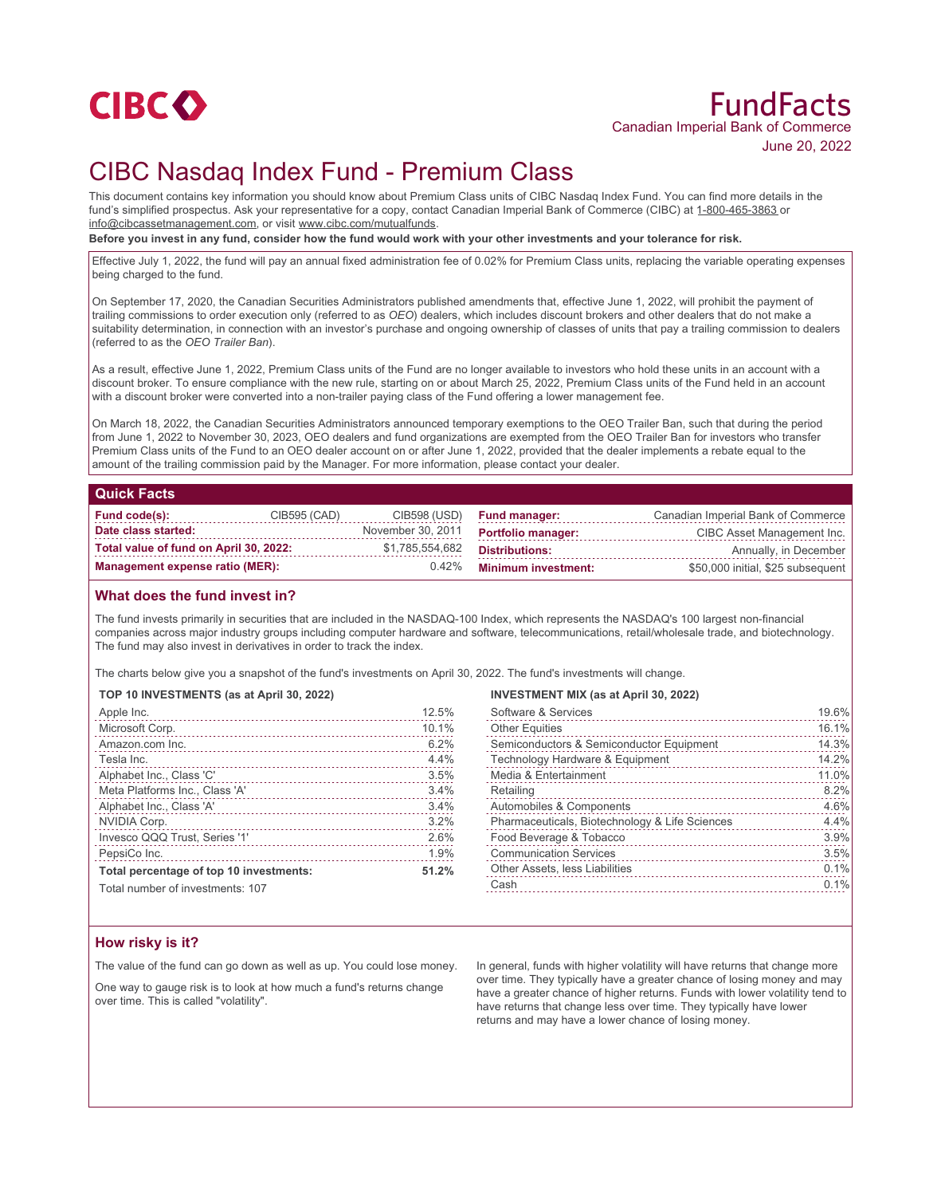

# FundFacts Canadian Imperial Bank of Commerce June 20, 2022

# CIBC Nasdaq Index Fund - Premium Class

This document contains key information you should know about Premium Class units of CIBC Nasdaq Index Fund. You can find more details in the fund's simplified prospectus. Ask your representative for a copy, contact Canadian Imperial Bank of Commerce (CIBC) at 1-800-465-3863 or info@cibcassetmanagement.com, or visit www.cibc.com/mutualfunds.

**Before you invest in any fund, consider how the fund would work with your other investments and your tolerance for risk.**

Effective July 1, 2022, the fund will pay an annual fixed administration fee of 0.02% for Premium Class units, replacing the variable operating expenses being charged to the fund.

On September 17, 2020, the Canadian Securities Administrators published amendments that, effective June 1, 2022, will prohibit the payment of trailing commissions to order execution only (referred to as *OEO*) dealers, which includes discount brokers and other dealers that do not make a suitability determination, in connection with an investor's purchase and ongoing ownership of classes of units that pay a trailing commission to dealers (referred to as the *OEO Trailer Ban*).

As a result, effective June 1, 2022, Premium Class units of the Fund are no longer available to investors who hold these units in an account with a discount broker. To ensure compliance with the new rule, starting on or about March 25, 2022, Premium Class units of the Fund held in an account with a discount broker were converted into a non-trailer paying class of the Fund offering a lower management fee.

On March 18, 2022, the Canadian Securities Administrators announced temporary exemptions to the OEO Trailer Ban, such that during the period from June 1, 2022 to November 30, 2023, OEO dealers and fund organizations are exempted from the OEO Trailer Ban for investors who transfer Premium Class units of the Fund to an OEO dealer account on or after June 1, 2022, provided that the dealer implements a rebate equal to the amount of the trailing commission paid by the Manager. For more information, please contact your dealer.

### **Quick Facts**

| Fund code(s):                          | CIB595 (CAD) | CIB598 (USD)      | <b>Fund manager:</b>       | Canadian Imperial Bank of Commerce |
|----------------------------------------|--------------|-------------------|----------------------------|------------------------------------|
| Date class started:                    |              | November 30, 2011 | <b>Portfolio manager:</b>  | CIBC Asset Management Inc.         |
| Total value of fund on April 30, 2022: |              | \$1,785,554,682   | Distributions:             | Annually, in December              |
| Management expense ratio (MER):        |              | $0.42\%$          | <b>Minimum investment:</b> | \$50,000 initial, \$25 subsequent  |

## **What does the fund invest in?**

The fund invests primarily in securities that are included in the NASDAQ-100 Index, which represents the NASDAQ's 100 largest non-financial companies across major industry groups including computer hardware and software, telecommunications, retail/wholesale trade, and biotechnology. The fund may also invest in derivatives in order to track the index.

The charts below give you a snapshot of the fund's investments on April 30, 2022. The fund's investments will change.

#### **TOP 10 INVESTMENTS (as at April 30, 2022)**

| Apple Inc.                              | 12.5% |
|-----------------------------------------|-------|
| Microsoft Corp.                         | 10.1% |
| Amazon.com Inc.                         | 6.2%  |
| Tesla Inc.                              | 4.4%  |
| Alphabet Inc., Class 'C'                | 3.5%  |
| Meta Platforms Inc., Class 'A'          | 3.4%  |
| Alphabet Inc., Class 'A'                | 3.4%  |
| NVIDIA Corp.                            | 3.2%  |
| Invesco QQQ Trust, Series '1'           | 2.6%  |
| PepsiCo Inc.                            | 1.9%  |
| Total percentage of top 10 investments: | 51.2% |

#### **INVESTMENT MIX (as at April 30, 2022)**

| Software & Services                            | 19.6% |
|------------------------------------------------|-------|
| <b>Other Equities</b><br>.                     | 16.1% |
| Semiconductors & Semiconductor Equipment<br>.  | 14.3% |
| Technology Hardware & Equipment                | 14.2% |
| Media & Entertainment                          | 11.0% |
| Retailing                                      | 8.2%  |
| Automobiles & Components                       | 4.6%  |
| Pharmaceuticals, Biotechnology & Life Sciences | 4.4%  |
| Food Beverage & Tobacco                        | 3.9%  |
| <b>Communication Services</b>                  | 3.5%  |
| Other Assets, less Liabilities                 | 0.1%  |
| Cash                                           | 0.1%  |

Total number of investments: 107

## **How risky is it?**

The value of the fund can go down as well as up. You could lose money.

One way to gauge risk is to look at how much a fund's returns change over time. This is called "volatility".

In general, funds with higher volatility will have returns that change more over time. They typically have a greater chance of losing money and may have a greater chance of higher returns. Funds with lower volatility tend to have returns that change less over time. They typically have lower returns and may have a lower chance of losing money.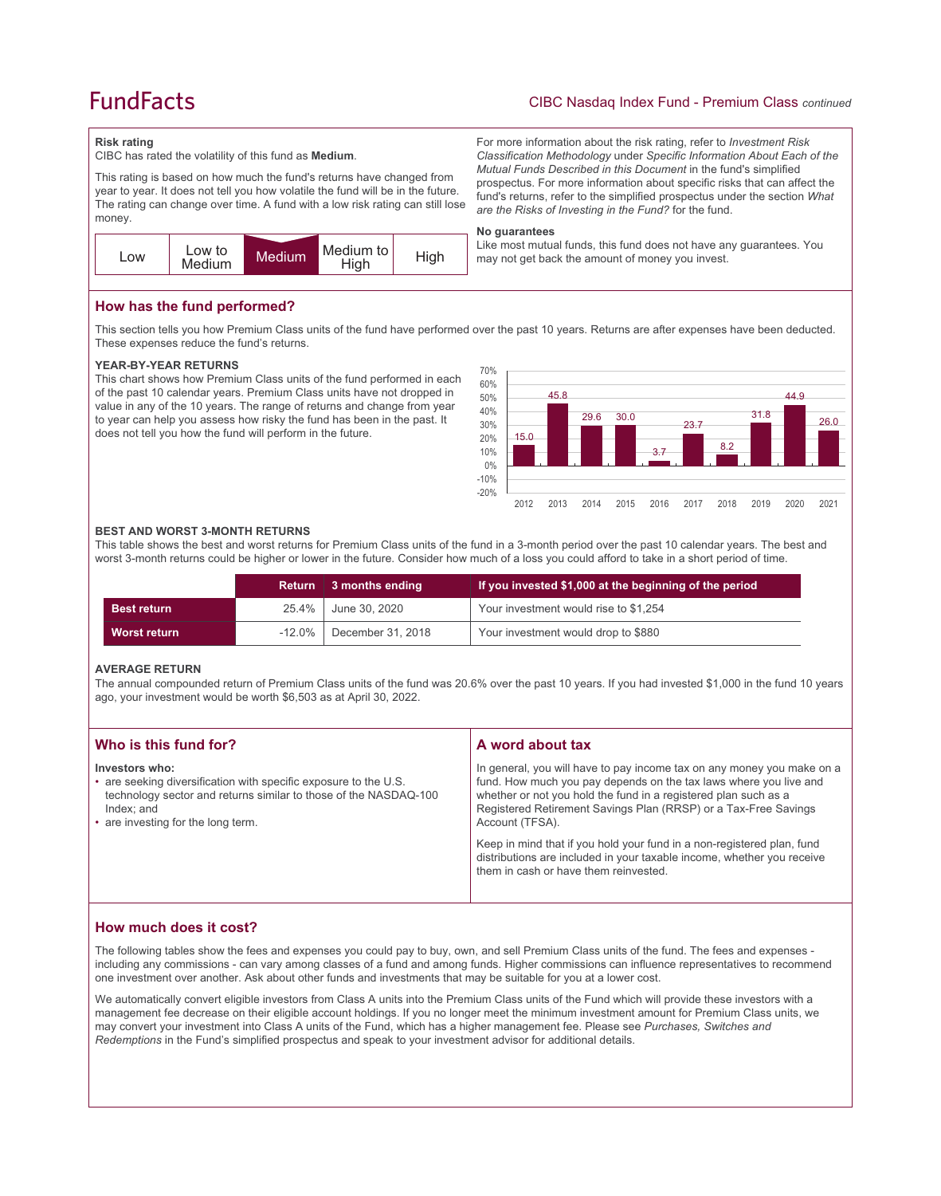# **FundFacts**

## CIBC Nasdaq Index Fund - Premium Class *continued*

For more information about the risk rating, refer to *Investment Risk Classification Methodology* under *Specific Information About Each of the Mutual Funds Described in this Document* in the fund's simplified prospectus. For more information about specific risks that can affect the fund's returns, refer to the simplified prospectus under the section *What* 

Like most mutual funds, this fund does not have any guarantees. You

*are the Risks of Investing in the Fund?* for the fund.

may not get back the amount of money you invest.

#### **Risk rating**

CIBC has rated the volatility of this fund as **Medium**.

This rating is based on how much the fund's returns have changed from year to year. It does not tell you how volatile the fund will be in the future. The rating can change over time. A fund with a low risk rating can still lose money.



## **How has the fund performed?**

This section tells you how Premium Class units of the fund have performed over the past 10 years. Returns are after expenses have been deducted. These expenses reduce the fund's returns.

**No guarantees**

### **YEAR-BY-YEAR RETURNS**

This chart shows how Premium Class units of the fund performed in each of the past 10 calendar years. Premium Class units have not dropped in value in any of the 10 years. The range of returns and change from year to year can help you assess how risky the fund has been in the past. It does not tell you how the fund will perform in the future.



#### **BEST AND WORST 3-MONTH RETURNS**

This table shows the best and worst returns for Premium Class units of the fund in a 3-month period over the past 10 calendar years. The best and worst 3-month returns could be higher or lower in the future. Consider how much of a loss you could afford to take in a short period of time.

|                    | Return    | 3 months ending   | If you invested \$1,000 at the beginning of the period |
|--------------------|-----------|-------------------|--------------------------------------------------------|
| <b>Best return</b> | 25.4%     | June 30, 2020     | Your investment would rise to \$1,254                  |
| Worst return       | $-12.0\%$ | December 31, 2018 | Your investment would drop to \$880                    |

### **AVERAGE RETURN**

The annual compounded return of Premium Class units of the fund was 20.6% over the past 10 years. If you had invested \$1,000 in the fund 10 years ago, your investment would be worth \$6,503 as at April 30, 2022.

| Who is this fund for?                                                                                                                                                                                      | A word about tax                                                                                                                                                                                                                                                                                                                                                                                                                                         |
|------------------------------------------------------------------------------------------------------------------------------------------------------------------------------------------------------------|----------------------------------------------------------------------------------------------------------------------------------------------------------------------------------------------------------------------------------------------------------------------------------------------------------------------------------------------------------------------------------------------------------------------------------------------------------|
| Investors who:<br>• are seeking diversification with specific exposure to the U.S.<br>technology sector and returns similar to those of the NASDAQ-100<br>Index: and<br>• are investing for the long term. | In general, you will have to pay income tax on any money you make on a<br>fund. How much you pay depends on the tax laws where you live and<br>whether or not you hold the fund in a registered plan such as a<br>Registered Retirement Savings Plan (RRSP) or a Tax-Free Savings<br>Account (TFSA).<br>Keep in mind that if you hold your fund in a non-registered plan, fund<br>distributions are included in your taxable income, whether you receive |
|                                                                                                                                                                                                            | them in cash or have them reinvested.                                                                                                                                                                                                                                                                                                                                                                                                                    |

## **How much does it cost?**

The following tables show the fees and expenses you could pay to buy, own, and sell Premium Class units of the fund. The fees and expenses including any commissions - can vary among classes of a fund and among funds. Higher commissions can influence representatives to recommend one investment over another. Ask about other funds and investments that may be suitable for you at a lower cost.

We automatically convert eligible investors from Class A units into the Premium Class units of the Fund which will provide these investors with a management fee decrease on their eligible account holdings. If you no longer meet the minimum investment amount for Premium Class units, we may convert your investment into Class A units of the Fund, which has a higher management fee. Please see *Purchases, Switches and Redemptions* in the Fund's simplified prospectus and speak to your investment advisor for additional details.